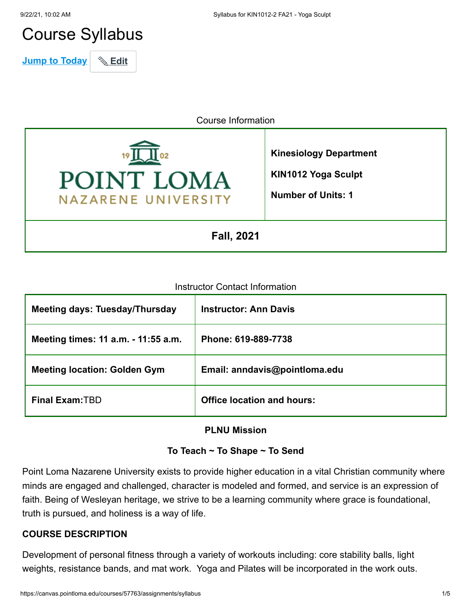# Course Syllabus

**Jump to Today** \& Edit

Course Information



**Kinesiology Department**

**KIN1012 Yoga Sculpt**

**Number of Units: 1**

**Fall, 2021**

#### Instructor Contact Information

| <b>Meeting days: Tuesday/Thursday</b> | <b>Instructor: Ann Davis</b>      |
|---------------------------------------|-----------------------------------|
| Meeting times: 11 a.m. - 11:55 a.m.   | Phone: 619-889-7738               |
| <b>Meeting location: Golden Gym</b>   | Email: anndavis@pointloma.edu     |
| <b>Final Exam: TBD</b>                | <b>Office location and hours:</b> |

#### **PLNU Mission**

# **To Teach ~ To Shape ~ To Send**

Point Loma Nazarene University exists to provide higher education in a vital Christian community where minds are engaged and challenged, character is modeled and formed, and service is an expression of faith. Being of Wesleyan heritage, we strive to be a learning community where grace is foundational, truth is pursued, and holiness is a way of life.

# **COURSE DESCRIPTION**

Development of personal fitness through a variety of workouts including: core stability balls, light weights, resistance bands, and mat work. Yoga and Pilates will be incorporated in the work outs.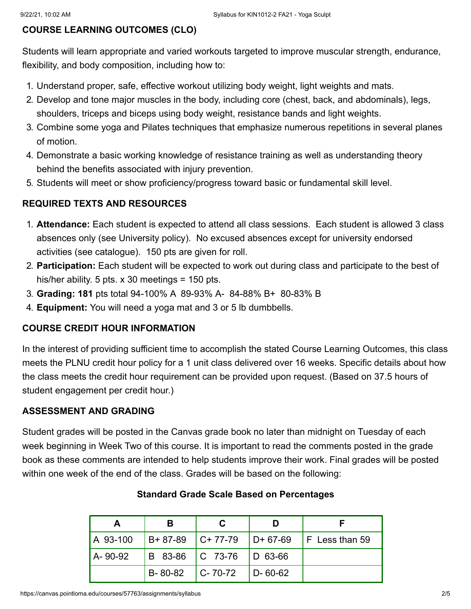# **COURSE LEARNING OUTCOMES (CLO)**

Students will learn appropriate and varied workouts targeted to improve muscular strength, endurance, flexibility, and body composition, including how to:

- 1. Understand proper, safe, effective workout utilizing body weight, light weights and mats.
- 2. Develop and tone major muscles in the body, including core (chest, back, and abdominals), legs, shoulders, triceps and biceps using body weight, resistance bands and light weights.
- 3. Combine some yoga and Pilates techniques that emphasize numerous repetitions in several planes of motion.
- 4. Demonstrate a basic working knowledge of resistance training as well as understanding theory behind the benefits associated with injury prevention.
- 5. Students will meet or show proficiency/progress toward basic or fundamental skill level.

# **REQUIRED TEXTS AND RESOURCES**

- 1. **Attendance:** Each student is expected to attend all class sessions. Each student is allowed 3 class absences only (see University policy). No excused absences except for university endorsed activities (see catalogue). 150 pts are given for roll.
- 2. **Participation:** Each student will be expected to work out during class and participate to the best of his/her ability. 5 pts.  $\times$  30 meetings = 150 pts.
- 3. **Grading: 181** pts total 94-100% A 89-93% A- 84-88% B+ 80-83% B
- 4. **Equipment:** You will need a yoga mat and 3 or 5 lb dumbbells.

#### **COURSE CREDIT HOUR INFORMATION**

In the interest of providing sufficient time to accomplish the stated Course Learning Outcomes, this class meets the PLNU credit hour policy for a 1 unit class delivered over 16 weeks. Specific details about how the class meets the credit hour requirement can be provided upon request. (Based on 37.5 hours of student engagement per credit hour.)

# **ASSESSMENT AND GRADING**

Student grades will be posted in the Canvas grade book no later than midnight on Tuesday of each week beginning in Week Two of this course. It is important to read the comments posted in the grade book as these comments are intended to help students improve their work. Final grades will be posted within one week of the end of the class. Grades will be based on the following:

| А        | в                           |                             |               |                              |
|----------|-----------------------------|-----------------------------|---------------|------------------------------|
| A 93-100 | $B+87-89$ $C+77-79$         |                             |               | $ D+67-69 $   F Less than 59 |
| A-90-92  |                             | B 83-86   C 73-76   D 63-66 |               |                              |
|          | $B - 80 - 82$ $C - 70 - 72$ |                             | $D - 60 - 62$ |                              |

### **Standard Grade Scale Based on Percentages**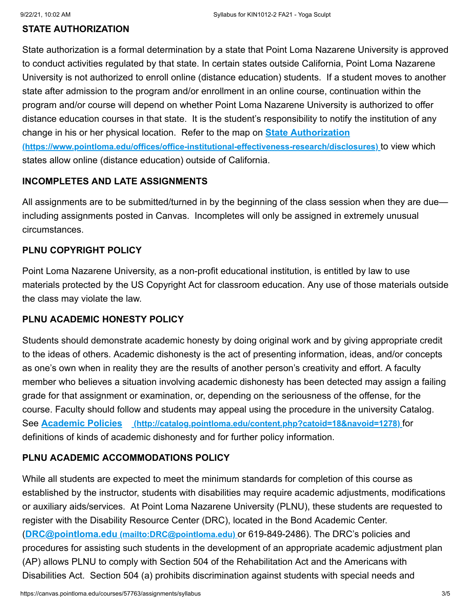### **STATE AUTHORIZATION**

State authorization is a formal determination by a state that Point Loma Nazarene University is approved to conduct activities regulated by that state. In certain states outside California, Point Loma Nazarene University is not authorized to enroll online (distance education) students. If a student moves to another state after admission to the program and/or enrollment in an online course, continuation within the program and/or course will depend on whether Point Loma Nazarene University is authorized to offer distance education courses in that state. It is the student's responsibility to notify the institution of any change in his or her physical location. Refer to the map on **State Authorization [\(https://www.pointloma.edu/offices/office-institutional-effectiveness-research/disclosures\)](https://www.pointloma.edu/offices/office-institutional-effectiveness-research/disclosures)** to view which states allow online (distance education) outside of California.

#### **INCOMPLETES AND LATE ASSIGNMENTS**

All assignments are to be submitted/turned in by the beginning of the class session when they are due including assignments posted in Canvas. Incompletes will only be assigned in extremely unusual circumstances.

#### **PLNU COPYRIGHT POLICY**

Point Loma Nazarene University, as a non-profit educational institution, is entitled by law to use materials protected by the US Copyright Act for classroom education. Any use of those materials outside the class may violate the law.

#### **PLNU ACADEMIC HONESTY POLICY**

Students should demonstrate academic honesty by doing original work and by giving appropriate credit to the ideas of others. Academic dishonesty is the act of presenting information, ideas, and/or concepts as one's own when in reality they are the results of another person's creativity and effort. A faculty member who believes a situation involving academic dishonesty has been detected may assign a failing grade for that assignment or examination, or, depending on the seriousness of the offense, for the course. Faculty should follow and students may appeal using the procedure in the university Catalog. See **Academic Policies [\(http://catalog.pointloma.edu/content.php?catoid=18&navoid=1278\)](http://catalog.pointloma.edu/content.php?catoid=18&navoid=1278)** for definitions of kinds of academic dishonesty and for further policy information.

#### **PLNU ACADEMIC ACCOMMODATIONS POLICY**

While all students are expected to meet the minimum standards for completion of this course as established by the instructor, students with disabilities may require academic adjustments, modifications or auxiliary aids/services. At Point Loma Nazarene University (PLNU), these students are requested to register with the Disability Resource Center (DRC), located in the Bond Academic Center. (**DRC@pointloma.edu [\(mailto:DRC@pointloma.edu\)](mailto:DRC@pointloma.edu)** or 619-849-2486). The DRC's policies and procedures for assisting such students in the development of an appropriate academic adjustment plan (AP) allows PLNU to comply with Section 504 of the Rehabilitation Act and the Americans with Disabilities Act. Section 504 (a) prohibits discrimination against students with special needs and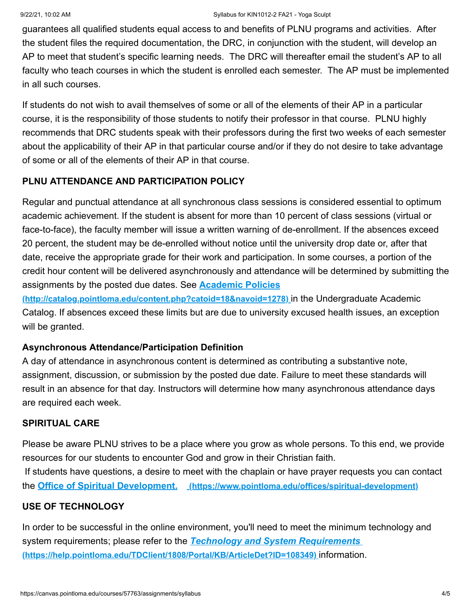guarantees all qualified students equal access to and benefits of PLNU programs and activities. After the student files the required documentation, the DRC, in conjunction with the student, will develop an AP to meet that student's specific learning needs. The DRC will thereafter email the student's AP to all faculty who teach courses in which the student is enrolled each semester. The AP must be implemented in all such courses.

If students do not wish to avail themselves of some or all of the elements of their AP in a particular course, it is the responsibility of those students to notify their professor in that course. PLNU highly recommends that DRC students speak with their professors during the first two weeks of each semester about the applicability of their AP in that particular course and/or if they do not desire to take advantage of some or all of the elements of their AP in that course.

# **PLNU ATTENDANCE AND PARTICIPATION POLICY**

Regular and punctual attendance at all synchronous class sessions is considered essential to optimum academic achievement. If the student is absent for more than 10 percent of class sessions (virtual or face-to-face), the faculty member will issue a written warning of de-enrollment. If the absences exceed 20 percent, the student may be de-enrolled without notice until the university drop date or, after that date, receive the appropriate grade for their work and participation. In some courses, a portion of the credit hour content will be delivered asynchronously and attendance will be determined by submitting the assignments by the posted due dates. See **Academic Policies**

**[\(http://catalog.pointloma.edu/content.php?catoid=18&navoid=1278\)](http://catalog.pointloma.edu/content.php?catoid=18&navoid=1278)** in the Undergraduate Academic Catalog. If absences exceed these limits but are due to university excused health issues, an exception will be granted.

#### **Asynchronous Attendance/Participation Definition**

A day of attendance in asynchronous content is determined as contributing a substantive note, assignment, discussion, or submission by the posted due date. Failure to meet these standards will result in an absence for that day. Instructors will determine how many asynchronous attendance days are required each week.

#### **SPIRITUAL CARE**

Please be aware PLNU strives to be a place where you grow as whole persons. To this end, we provide resources for our students to encounter God and grow in their Christian faith. If students have questions, a desire to meet with the chaplain or have prayer requests you can contact the **Office of Spiritual Development. [\(https://www.pointloma.edu/offices/spiritual-development\)](https://www.pointloma.edu/offices/spiritual-development)**

# **USE OF TECHNOLOGY**

In order to be successful in the online environment, you'll need to meet the minimum technology and system requirements; please refer to the *Technology and System Requirements*  **[\(https://help.pointloma.edu/TDClient/1808/Portal/KB/ArticleDet?ID=108349\)](https://help.pointloma.edu/TDClient/1808/Portal/KB/ArticleDet?ID=108349)** information.